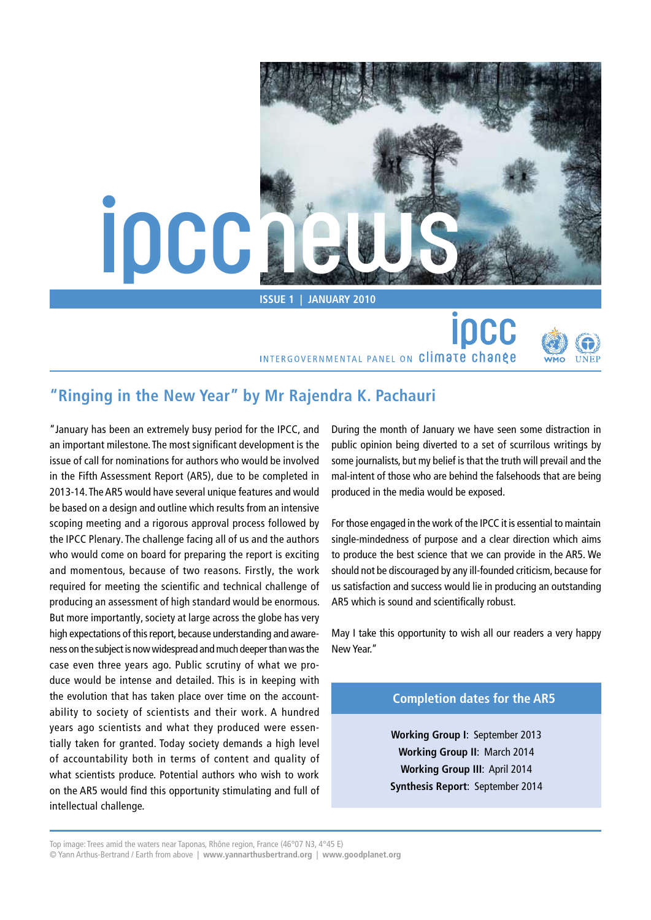

**Issue 1 | January 2010**

INTERGOVERNMENTAL PANEL ON Climate change



# **"Ringing in the New Year" by Mr Rajendra K. Pachauri**

"January has been an extremely busy period for the IPCC, and an important milestone. The most significant development is the issue of call for nominations for authors who would be involved in the Fifth Assessment Report (AR5), due to be completed in 2013-14. The AR5 would have several unique features and would be based on a design and outline which results from an intensive scoping meeting and a rigorous approval process followed by the IPCC Plenary. The challenge facing all of us and the authors who would come on board for preparing the report is exciting and momentous, because of two reasons. Firstly, the work required for meeting the scientific and technical challenge of producing an assessment of high standard would be enormous. But more importantly, society at large across the globe has very high expectations of this report, because understanding and awareness on the subject is now widespread and much deeper than was the case even three years ago. Public scrutiny of what we produce would be intense and detailed. This is in keeping with the evolution that has taken place over time on the accountability to society of scientists and their work. A hundred years ago scientists and what they produced were essentially taken for granted. Today society demands a high level of accountability both in terms of content and quality of what scientists produce. Potential authors who wish to work on the AR5 would find this opportunity stimulating and full of intellectual challenge.

During the month of January we have seen some distraction in public opinion being diverted to a set of scurrilous writings by some journalists, but my belief is that the truth will prevail and the mal-intent of those who are behind the falsehoods that are being produced in the media would be exposed.

**jocc** 

For those engaged in the work of the IPCC it is essential to maintain single-mindedness of purpose and a clear direction which aims to produce the best science that we can provide in the AR5. We should not be discouraged by any ill-founded criticism, because for us satisfaction and success would lie in producing an outstanding AR5 which is sound and scientifically robust.

May I take this opportunity to wish all our readers a very happy New Year."

## **Completion dates for the AR5**

**Working Group I**: September 2013 **Working Group II**: March 2014 **Working Group III**: April 2014 **Synthesis Report**: September 2014

Top image: Trees amid the waters near Taponas, Rhône region, France (46°07 N3, 4°45 E) © Yann Arthus-Bertrand / Earth from above | **[www.yannarthusbertrand.org](http://www.yannarthusbertrand.org)** | **[www.goodplanet.org](http://www.goodplanet.org)**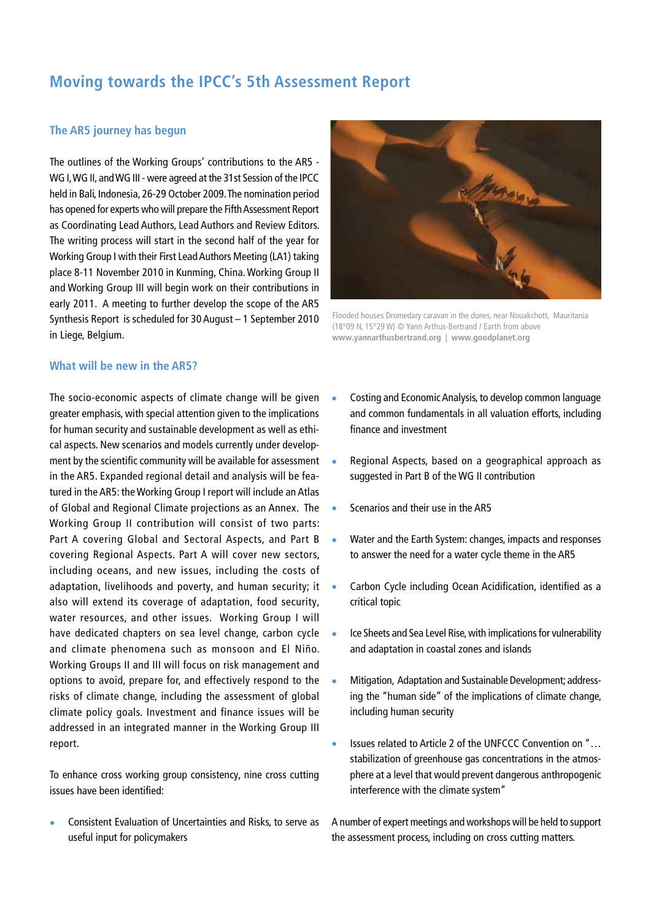# **Moving towards the IPCC's 5th Assessment Report**

## **The AR5 journey has begun**

The outlines of the Working Groups' contributions to the AR5 - WG I, WG II, and WG III - were agreed at the 31st Session of the IPCC held in Bali, Indonesia, 26-29 October 2009. The nomination period has opened for experts who will prepare the Fifth Assessment Report as Coordinating Lead Authors, Lead Authors and Review Editors. The writing process will start in the second half of the year for Working Group I with their First Lead Authors Meeting (LA1) taking place 8-11 November 2010 in Kunming, China. Working Group II and Working Group III will begin work on their contributions in early 2011. A meeting to further develop the scope of the AR5 Synthesis Report is scheduled for 30 August – 1 September 2010 in Liege, Belgium.



Flooded houses Dromedary caravan in the dunes, near Nouakchott, Mauritania (18°09 N, 15°29 W) © Yann Arthus-Bertrand / Earth from above **[www.yannarthusbertrand.org](http://www.yannarthusbertrand.org)** | **[www.goodplanet.org](http://www.goodplanet.org)**

### **What will be new in the AR5?**

The socio-economic aspects of climate change will be given greater emphasis, with special attention given to the implications for human security and sustainable development as well as ethical aspects. New scenarios and models currently under development by the scientific community will be available for assessment in the AR5. Expanded regional detail and analysis will be featured in the AR5: the Working Group I report will include an Atlas of Global and Regional Climate projections as an Annex. The Working Group II contribution will consist of two parts: Part A covering Global and Sectoral Aspects, and Part B covering Regional Aspects. Part A will cover new sectors, including oceans, and new issues, including the costs of adaptation, livelihoods and poverty, and human security; it also will extend its coverage of adaptation, food security, water resources, and other issues. Working Group I will have dedicated chapters on sea level change, carbon cycle and climate phenomena such as monsoon and El Niño. Working Groups II and III will focus on risk management and options to avoid, prepare for, and effectively respond to the risks of climate change, including the assessment of global climate policy goals. Investment and finance issues will be addressed in an integrated manner in the Working Group III report.

To enhance cross working group consistency, nine cross cutting issues have been identified:

• Consistent Evaluation of Uncertainties and Risks, to serve as useful input for policymakers

- Costing and Economic Analysis, to develop common language and common fundamentals in all valuation efforts, including finance and investment
- Regional Aspects, based on a geographical approach as suggested in Part B of the WG II contribution
- Scenarios and their use in the AR5
- Water and the Earth System: changes, impacts and responses to answer the need for a water cycle theme in the AR5
- Carbon Cycle including Ocean Acidification, identified as a critical topic
- Ice Sheets and Sea Level Rise, with implications for vulnerability and adaptation in coastal zones and islands
- Mitigation, Adaptation and Sustainable Development; addressing the "human side" of the implications of climate change, including human security
- Issues related to Article 2 of the UNFCCC Convention on "… stabilization of greenhouse gas concentrations in the atmosphere at a level that would prevent dangerous anthropogenic interference with the climate system"

A number of expert meetings and workshops will be held to support the assessment process, including on cross cutting matters.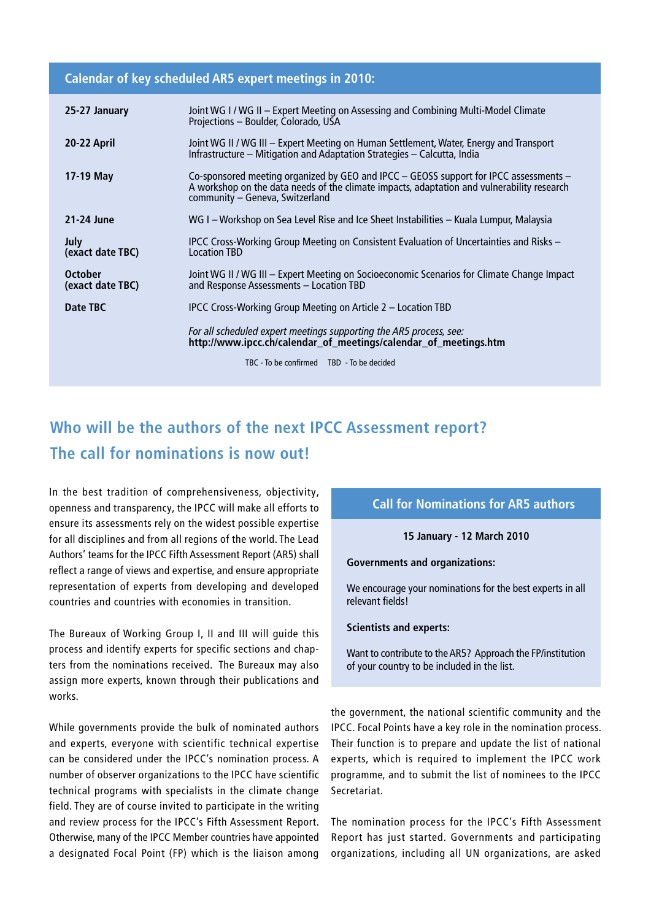## **Calendar of key scheduled AR5 expert meetings in 2010:**

| 25-27 January                      | Joint WG I / WG II – Expert Meeting on Assessing and Combining Multi-Model Climate<br>Projections - Boulder, Colorado, USA                                                                                             |
|------------------------------------|------------------------------------------------------------------------------------------------------------------------------------------------------------------------------------------------------------------------|
| 20-22 April                        | Joint WG II / WG III – Expert Meeting on Human Settlement, Water, Energy and Transport<br>Infrastructure - Mitigation and Adaptation Strategies - Calcutta, India                                                      |
| 17-19 May                          | Co-sponsored meeting organized by GEO and IPCC - GEOSS support for IPCC assessments -<br>A workshop on the data needs of the climate impacts, adaptation and vulnerability research<br>community - Geneva, Switzerland |
| 21-24 June                         | WG I – Workshop on Sea Level Rise and Ice Sheet Instabilities – Kuala Lumpur, Malaysia                                                                                                                                 |
| <b>July</b><br>(exact date TBC)    | IPCC Cross-Working Group Meeting on Consistent Evaluation of Uncertainties and Risks –<br><b>Location TBD</b>                                                                                                          |
| <b>October</b><br>(exact date TBC) | Joint WG II / WG III - Expert Meeting on Socioeconomic Scenarios for Climate Change Impact<br>and Response Assessments - Location TBD                                                                                  |
| Date TBC                           | IPCC Cross-Working Group Meeting on Article 2 – Location TBD                                                                                                                                                           |
|                                    | For all scheduled expert meetings supporting the AR5 process, see:<br>http://www.ipcc.ch/calendar_of_meetings/calendar_of_meetings.htm                                                                                 |
|                                    | TBC - To be confirmed TBD - To be decided                                                                                                                                                                              |
|                                    |                                                                                                                                                                                                                        |

# **Who will be the authors of the next IPCC Assessment report? The call for nominations is now out!**

In the best tradition of comprehensiveness, objectivity, openness and transparency, the IPCC will make all efforts to ensure its assessments rely on the widest possible expertise for all disciplines and from all regions of the world. The Lead Authors' teams for the IPCC Fifth Assessment Report (AR5) shall reflect a range of views and expertise, and ensure appropriate representation of experts from developing and developed countries and countries with economies in transition.

The Bureaux of Working Group I, II and III will guide this process and identify experts for specific sections and chapters from the nominations received. The Bureaux may also assign more experts, known through their publications and works.

While governments provide the bulk of nominated authors and experts, everyone with scientific technical expertise can be considered under the IPCC's nomination process. A number of observer organizations to the IPCC have scientific technical programs with specialists in the climate change field. They are of course invited to participate in the writing and review process for the IPCC's Fifth Assessment Report. Otherwise, many of the IPCC Member countries have appointed a designated Focal Point (FP) which is the liaison among

## **Call for Nominations for AR5 authors**

### **15 January - 12 March 2010**

#### **Governments and organizations:**

We encourage your nominations for the best experts in all relevant fields!

#### **Scientists and experts:**

Want to contribute to the AR5? Approach the FP/institution of your country to be included in the list.

the government, the national scientific community and the IPCC. Focal Points have a key role in the nomination process. Their function is to prepare and update the list of national experts, which is required to implement the IPCC work programme, and to submit the list of nominees to the IPCC Secretariat.

The nomination process for the IPCC's Fifth Assessment Report has just started. Governments and participating organizations, including all UN organizations, are asked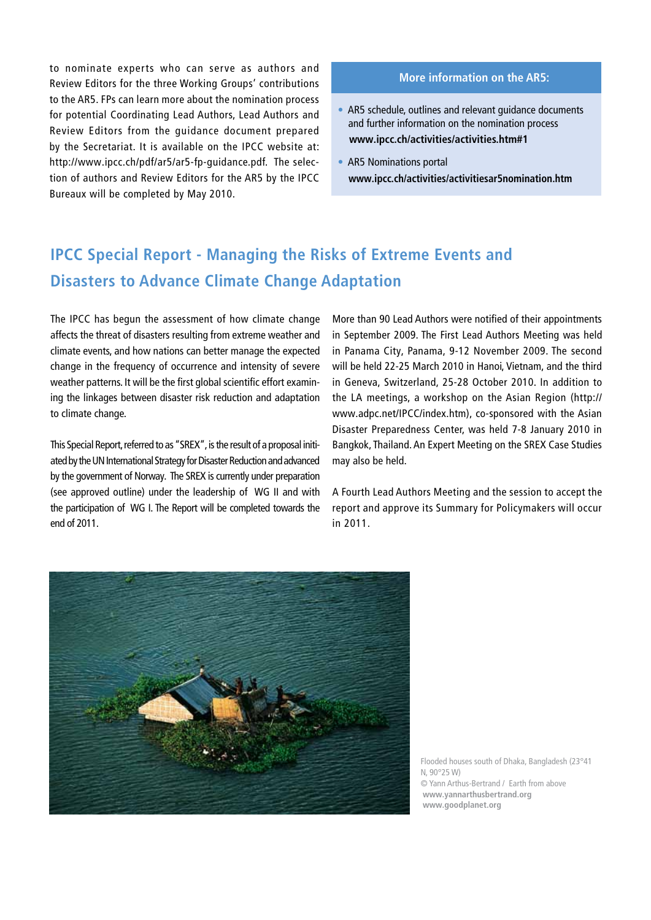to nominate experts who can serve as authors and Review Editors for the three Working Groups' contributions to the AR5. FPs can learn more about the nomination process for potential Coordinating Lead Authors, Lead Authors and Review Editors from the guidance document prepared by the Secretariat. It is available on the IPCC website at: [http://www.ipcc.ch/pdf/ar5/ar5-fp-guidance.pdf. T](http://www.ipcc.ch/pdf/ar5/ar5-fp-guidance.pdf)he selection of authors and Review Editors for the AR5 by the IPCC Bureaux will be completed by May 2010.

### **More information on the AR5:**

- AR5 schedule, outlines and relevant guidance documents and further information on the nomination process  **[www.ipcc.ch/activities/activities.htm#1](http://www.ipcc.ch/activities/activities.htm#1)**
- AR5 Nominations portal  **[www.ipcc.ch/activities/activitiesar5nomination.htm](http://www.ipcc.ch/activities/activitiesar5nomination.htm)**

# **IPCC Special Report - Managing the Risks of Extreme Events and Disasters to Advance Climate Change Adaptation**

The IPCC has begun the assessment of how climate change affects the threat of disasters resulting from extreme weather and climate events, and how nations can better manage the expected change in the frequency of occurrence and intensity of severe weather patterns. It will be the first global scientific effort examining the linkages between disaster risk reduction and adaptation to climate change.

This Special Report, referred to as "SREX", is the result of a proposal initiated by the UN International Strategy for Disaster Reduction and advanced by the government of Norway. The SREX is currently under preparation (see approved outline) under the leadership of WG II and with the participation of WG I. The Report will be completed towards the end of 2011.

More than 90 Lead Authors were notified of their appointments in September 2009. The First Lead Authors Meeting was held in Panama City, Panama, 9-12 November 2009. The second will be held 22-25 March 2010 in Hanoi, Vietnam, and the third in Geneva, Switzerland, 25-28 October 2010. In addition to the LA meetings, a workshop on the Asian Region ([http://](http://www.adpc.net/IPCC/index.htm) [www.adpc.net/IPCC/index.htm\), co](http://www.adpc.net/IPCC/index.htm)-sponsored with the Asian Disaster Preparedness Center, was held 7-8 January 2010 in Bangkok, Thailand. An Expert Meeting on the SREX Case Studies may also be held.

A Fourth Lead Authors Meeting and the session to accept the report and approve its Summary for Policymakers will occur in 2011.



Flooded houses south of Dhaka, Bangladesh (23°41 N, 90°25 W) © Yann Arthus-Bertrand / Earth from above **[www.yannarthusbertrand.org](http://www.yannarthusbertrand.org) [www.goodplanet.org](http://www.goodplanet.org)**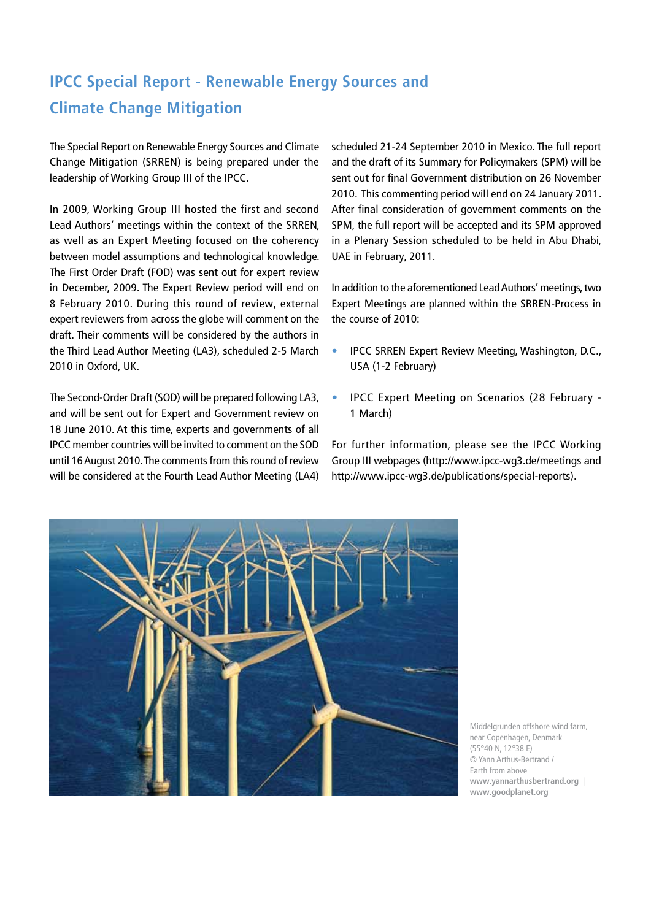# **IPCC Special Report - Renewable Energy Sources and Climate Change Mitigation**

The Special Report on Renewable Energy Sources and Climate Change Mitigation (SRREN) is being prepared under the leadership of Working Group III of the IPCC.

In 2009, Working Group III hosted the first and second Lead Authors' meetings within the context of the SRREN, as well as an Expert Meeting focused on the coherency between model assumptions and technological knowledge. The First Order Draft (FOD) was sent out for expert review in December, 2009. The Expert Review period will end on 8 February 2010. During this round of review, external expert reviewers from across the globe will comment on the draft. Their comments will be considered by the authors in the Third Lead Author Meeting (LA3), scheduled 2-5 March 2010 in Oxford, UK.

The Second-Order Draft (SOD) will be prepared following LA3, and will be sent out for Expert and Government review on 18 June 2010. At this time, experts and governments of all IPCC member countries will be invited to comment on the SOD until 16 August 2010. The comments from this round of review will be considered at the Fourth Lead Author Meeting (LA4)

scheduled 21-24 September 2010 in Mexico. The full report and the draft of its Summary for Policymakers (SPM) will be sent out for final Government distribution on 26 November 2010. This commenting period will end on 24 January 2011. After final consideration of government comments on the SPM, the full report will be accepted and its SPM approved in a Plenary Session scheduled to be held in Abu Dhabi, UAE in February, 2011.

In addition to the aforementioned Lead Authors' meetings, two Expert Meetings are planned within the SRREN-Process in the course of 2010:

- IPCC SRREN Expert Review Meeting, Washington, D.C., USA (1-2 February)
- IPCC Expert Meeting on Scenarios (28 February 1 March)

For further information, please see the IPCC Working Group III webpages ([http://www.ipcc-wg3.de/meetings and](http://www.ipcc-wg3.de/meetings)  [http://w](http://www.ipcc-wg3.de/meetingsand)[ww.ipcc-wg3.de/publications/special-reports\).](http://www.ipcc-wg3.de/publications/special-reports)



Middelgrunden offshore wind farm, near Copenhagen, Denmark (55°40 N, 12°38 E) © Yann Arthus-Bertrand / Earth from above **[www.yannarthusbertrand.org](http://www.yannarthusbertrand.org)** | **[www.goodplanet.org](http://www.goodplanet.org)**